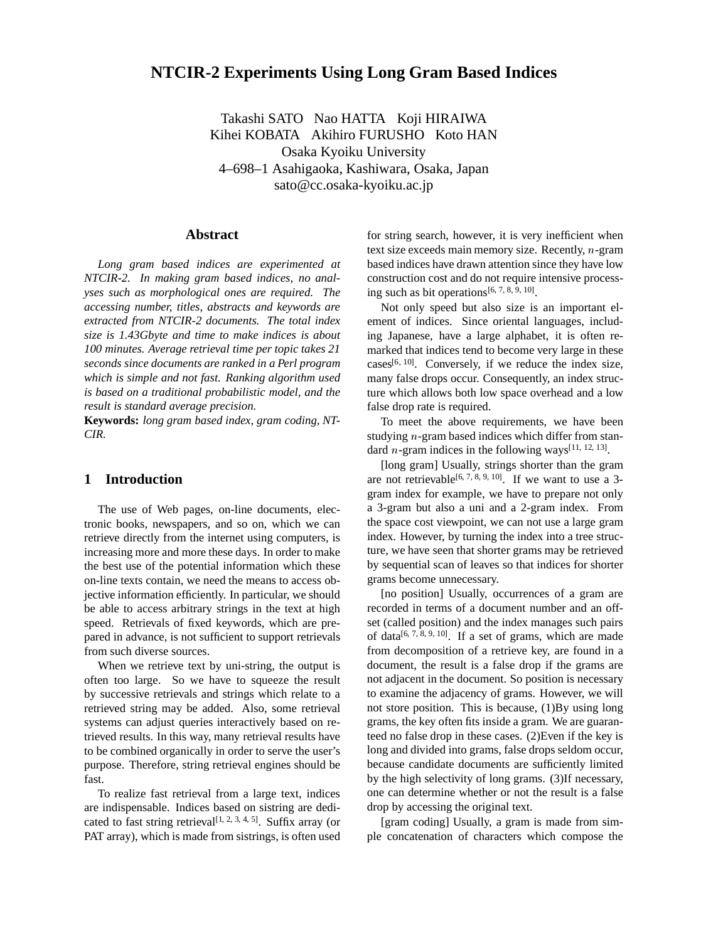# **NTCIR-2 Experiments Using Long Gram Based Indices**

Takashi SATO Nao HATTA Koji HIRAIWA Kihei KOBATA Akihiro FURUSHO Koto HAN Osaka Kyoiku University 4–698–1 Asahigaoka, Kashiwara, Osaka, Japan sato@cc.osaka-kyoiku.ac.jp

### **Abstract**

*Long gram based indices are experimented at NTCIR-2. In making gram based indices, no analyses such as morphological ones are required. The accessing number, titles, abstracts and keywords are extracted from NTCIR-2 documents. The total index size is 1.43Gbyte and time to make indices is about 100 minutes. Average retrieval time per topic takes 21 seconds since documents are ranked in a Perl program which is simple and not fast. Ranking algorithm used is based on a traditional probabilistic model, and the result is standard average precision.*

**Keywords:** *long gram based index, gram coding, NT-CIR.*

## **1 Introduction**

The use of Web pages, on-line documents, electronic books, newspapers, and so on, which we can retrieve directly from the internet using computers, is increasing more and more these days. In order to make the best use of the potential information which these on-line texts contain, we need the means to access objective information efficiently. In particular, we should be able to access arbitrary strings in the text at high speed. Retrievals of fixed keywords, which are prepared in advance, is not sufficient to support retrievals from such diverse sources.

When we retrieve text by uni-string, the output is often too large. So we have to squeeze the result by successive retrievals and strings which relate to a retrieved string may be added. Also, some retrieval systems can adjust queries interactively based on retrieved results. In this way, many retrieval results have to be combined organically in order to serve the user's purpose. Therefore, string retrieval engines should be fast.

To realize fast retrieval from a large text, indices are indispensable. Indices based on sistring are dedicated to fast string retrieval<sup>[1, 2, 3, 4, 5]</sup>. Suffix array (or PAT array), which is made from sistrings, is often used

for string search, however, it is very inefficient when text size exceeds main memory size. Recently, <sup>n</sup>-gram based indices have drawn attention since they have low construction cost and do not require intensive processing such as bit operations[6, 7, 8, 9, 10].

Not only speed but also size is an important element of indices. Since oriental languages, including Japanese, have a large alphabet, it is often remarked that indices tend to become very large in these cases $[6, 10]$ . Conversely, if we reduce the index size, many false drops occur. Consequently, an index structure which allows both low space overhead and a low false drop rate is required.

To meet the above requirements, we have been studying <sup>n</sup>-gram based indices which differ from standard *n*-gram indices in the following ways<sup>[11, 12, 13].</sup>

[long gram] Usually, strings shorter than the gram are not retrievable<sup>[6, 7, 8, 9, 10]</sup>. If we want to use a 3gram index for example, we have to prepare not only a 3-gram but also a uni and a 2-gram index. From the space cost viewpoint, we can not use a large gram index. However, by turning the index into a tree structure, we have seen that shorter grams may be retrieved by sequential scan of leaves so that indices for shorter grams become unnecessary.

[no position] Usually, occurrences of a gram are recorded in terms of a document number and an offset (called position) and the index manages such pairs of data<sup>[6, 7, 8, 9, 10]</sup>. If a set of grams, which are made from decomposition of a retrieve key, are found in a document, the result is a false drop if the grams are not adjacent in the document. So position is necessary to examine the adjacency of grams. However, we will not store position. This is because, (1)By using long grams, the key often fits inside a gram. We are guaranteed no false drop in these cases. (2)Even if the key is long and divided into grams, false drops seldom occur, because candidate documents are sufficiently limited by the high selectivity of long grams. (3)If necessary, one can determine whether or not the result is a false drop by accessing the original text.

[gram coding] Usually, a gram is made from simple concatenation of characters which compose the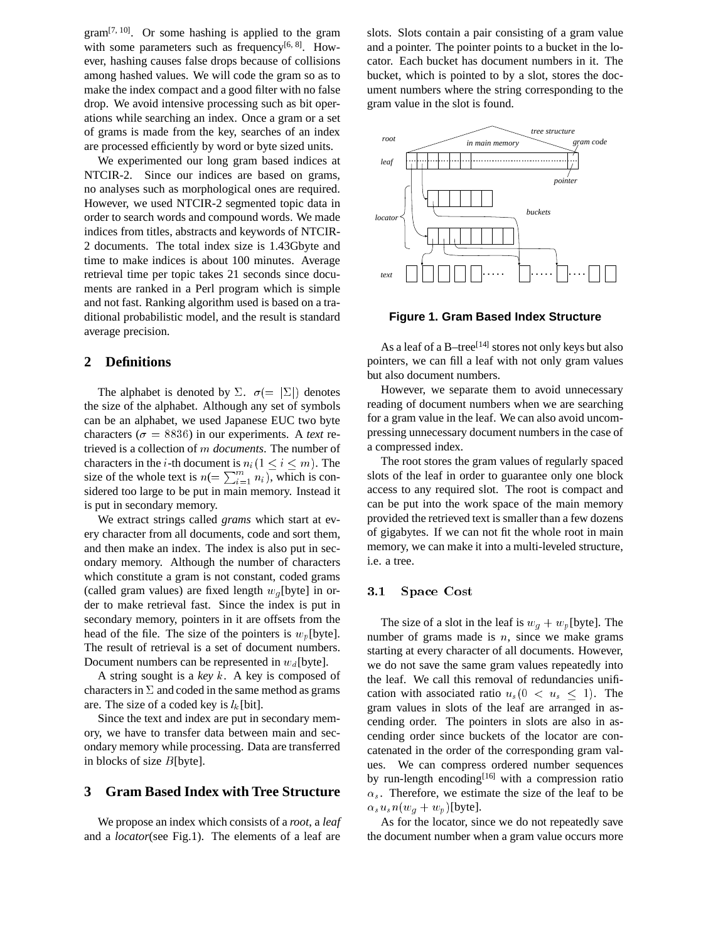$gram^{[7, 10]}$ . Or some hashing is applied to the gram with some parameters such as frequency<sup>[6, 8]</sup>. However, hashing causes false drops because of collisions among hashed values. We will code the gram so as to make the index compact and a good filter with no false drop. We avoid intensive processing such as bit operations while searching an index. Once a gram or a set of grams is made from the key, searches of an index are processed efficiently by word or byte sized units.

We experimented our long gram based indices at NTCIR-2. Since our indices are based on grams, no analyses such as morphological ones are required. However, we used NTCIR-2 segmented topic data in order to search words and compound words. We made indices from titles, abstracts and keywords of NTCIR-2 documents. The total index size is 1.43Gbyte and time to make indices is about 100 minutes. Average retrieval time per topic takes 21 seconds since documents are ranked in a Perl program which is simple and not fast. Ranking algorithm used is based on a traditional probabilistic model, and the result is standard average precision.

## **2 Definitions**

The alphabet is denoted by  $\Sigma$ .  $\sigma (= |\Sigma|)$  denotes the size of the alphabet. Although any set of symbols can be an alphabet, we used Japanese EUC two byte characters ( $\sigma = 8836$ ) in our experiments. A *text* retrieved is a collection of <sup>m</sup> *documents*. The number of characters in the *i*-th document is  $n_i(1 \le i \le m)$ . The size of the whole text is  $n (= \sum_{i=1}^{m} n_i)$ , which is considered too large to be put in main memory. Instead it is put in secondary memory.

We extract strings called *grams* which start at every character from all documents, code and sort them, and then make an index. The index is also put in secondary memory. Although the number of characters which constitute a gram is not constant, coded grams (called gram values) are fixed length  $w_q$  [byte] in order to make retrieval fast. Since the index is put in secondary memory, pointers in it are offsets from the head of the file. The size of the pointers is  $w_p$ [byte]. The result of retrieval is a set of document numbers. Document numbers can be represented in  $w_d$ [byte].

A string sought is a *key* <sup>k</sup>. A key is composed of characters in  $\Sigma$  and coded in the same method as grams are. The size of a coded key is  $l_k$ [bit].

Since the text and index are put in secondary memory, we have to transfer data between main and secondary memory while processing. Data are transferred in blocks of size  $B$ [byte].

#### **3 Gram Based Index with Tree Structure**

We propose an index which consists of a *root*, a *leaf* and a *locator*(see Fig.1). The elements of a leaf are

slots. Slots contain a pair consisting of a gram value and a pointer. The pointer points to a bucket in the locator. Each bucket has document numbers in it. The bucket, which is pointed to by a slot, stores the document numbers where the string corresponding to the gram value in the slot is found.



**Figure 1. Gram Based Index Structure**

As a leaf of a B-tree<sup>[14]</sup> stores not only keys but also pointers, we can fill a leaf with not only gram values but also document numbers.

However, we separate them to avoid unnecessary reading of document numbers when we are searching for a gram value in the leaf. We can also avoid uncompressing unnecessary document numbers in the case of a compressed index.

The root stores the gram values of regularly spaced slots of the leaf in order to guarantee only one block access to any required slot. The root is compact and can be put into the work space of the main memory provided the retrieved text is smaller than a few dozens of gigabytes. If we can not fit the whole root in main memory, we can make it into a multi-leveled structure, i.e. a tree.

## 3.1 Space Cost

The size of a slot in the leaf is  $w_q + w_p$ [byte]. The number of grams made is  $n$ , since we make grams starting at every character of all documents. However, we do not save the same gram values repeatedly into the leaf. We call this removal of redundancies unification with associated ratio  $u_s(0 < u_s < 1)$ . The gram values in slots of the leaf are arranged in ascending order. The pointers in slots are also in ascending order since buckets of the locator are concatenated in the order of the corresponding gram values. We can compress ordered number sequences by run-length encoding<sup>[16]</sup> with a compression ratio  $\alpha_s$ . Therefore, we estimate the size of the leaf to be  $\alpha_s u_s n(w_g + w_p)$ [byte].

As for the locator, since we do not repeatedly save the document number when a gram value occurs more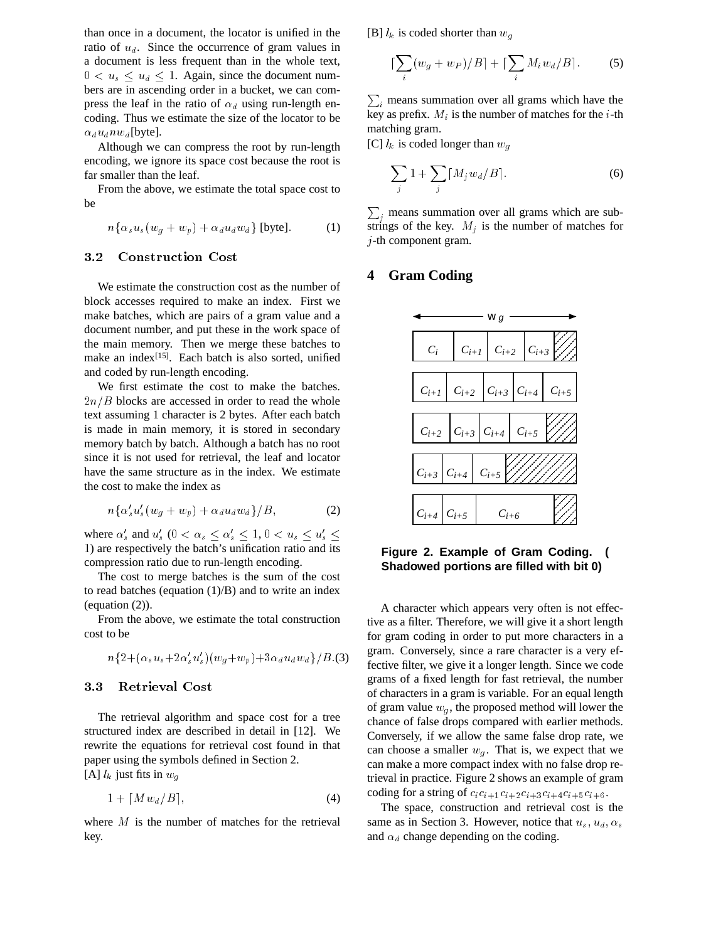than once in a document, the locator is unified in the ratio of  $u_d$ . Since the occurrence of gram values in a document is less frequent than in the whole text,  $0 < u_s \leq u_d \leq 1$ . Again, since the document numbers are in ascending order in a bucket, we can compress the leaf in the ratio of  $\alpha_d$  using run-length encoding. Thus we estimate the size of the locator to be  $\alpha_d u_d n w_d$ [byte].

Although we can compress the root by run-length encoding, we ignore its space cost because the root is far smaller than the leaf.

From the above, we estimate the total space cost to be

$$
n\{\alpha_s u_s(w_g + w_p) + \alpha_d u_d w_d\} \text{ [byte]}.
$$
 (1)

#### **Construction Cost**  $3.2$

We estimate the construction cost as the number of block accesses required to make an index. First we make batches, which are pairs of a gram value and a document number, and put these in the work space of the main memory. Then we merge these batches to make an index<sup>[15]</sup>. Each batch is also sorted, unified and coded by run-length encoding.

We first estimate the cost to make the batches.  $2n/B$  blocks are accessed in order to read the whole text assuming 1 character is 2 bytes. After each batch is made in main memory, it is stored in secondary memory batch by batch. Although a batch has no root since it is not used for retrieval, the leaf and locator have the same structure as in the index. We estimate the cost to make the index as

$$
n\{\alpha'_s u'_s (w_g + w_p) + \alpha_d u_d w_d\}/B, \tag{2}
$$

where  $\alpha_s'$  and  $u_s'$   $(0 < \alpha_s \leq \alpha_s' \leq 1, 0 < u_s \leq u_s' \leq 1)$ <sup>1</sup>) are respectively the batch's unification ratio and its compression ratio due to run-length encoding.

The cost to merge batches is the sum of the cost to read batches (equation  $(1)/B$ ) and to write an index (equation (2)).

From the above, we estimate the total construction cost to be

$$
n\{2+(\alpha_s u_s + 2\alpha_s' u_s')(w_g + w_p) + 3\alpha_d u_d w_d\}/B.(3)
$$

#### 3.3 Retrieval Cost

The retrieval algorithm and space cost for a tree structured index are described in detail in [12]. We rewrite the equations for retrieval cost found in that paper using the symbols defined in Section 2. [A]  $l_k$  just fits in  $w_g$ 

$$
1 + \lceil M w_d / B \rceil, \tag{4}
$$

where  $M$  is the number of matches for the retrieval key.

[B]  $l_k$  is coded shorter than  $w_q$ 

$$
\left[\sum_{i}(w_g + w_P)/B\right] + \left[\sum_{i} M_i w_d / B\right].
$$
 (5)

<u>Property</u>  $i$  means summation over all grams which have the key as prefix.  $M_i$  is the number of matches for the *i*-th matching gram.

[C]  $l_k$  is coded longer than  $w_q$ 

$$
\sum_{j} 1 + \sum_{j} [M_j w_d / B]. \tag{6}
$$

<u>Provide a serie de la provide a serie de la provide a serie de la provide a serie de la provide a serie de la p</u>  $_{i}$  means summation over all grams which are substrings of the key.  $M_j$  is the number of matches for <sup>j</sup>-th component gram.

## **4 Gram Coding**



#### **Figure 2. Example of Gram Coding. ( Shadowed portions are filled with bit 0)**

A character which appears very often is not effective as a filter. Therefore, we will give it a short length for gram coding in order to put more characters in a gram. Conversely, since a rare character is a very effective filter, we give it a longer length. Since we code grams of a fixed length for fast retrieval, the number of characters in a gram is variable. For an equal length of gram value  $w_g$ , the proposed method will lower the chance of false drops compared with earlier methods. Conversely, if we allow the same false drop rate, we can choose a smaller  $w_g$ . That is, we expect that we can make a more compact index with no false drop retrieval in practice. Figure 2 shows an example of gram coding for a string of  $c_i c_{i+1} c_{i+2} c_{i+3} c_{i+4} c_{i+5} c_{i+6}$ .

The space, construction and retrieval cost is the same as in Section 3. However, notice that  $u_s$ ,  $u_d$ ,  $\alpha_s$ and  $\alpha_d$  change depending on the coding.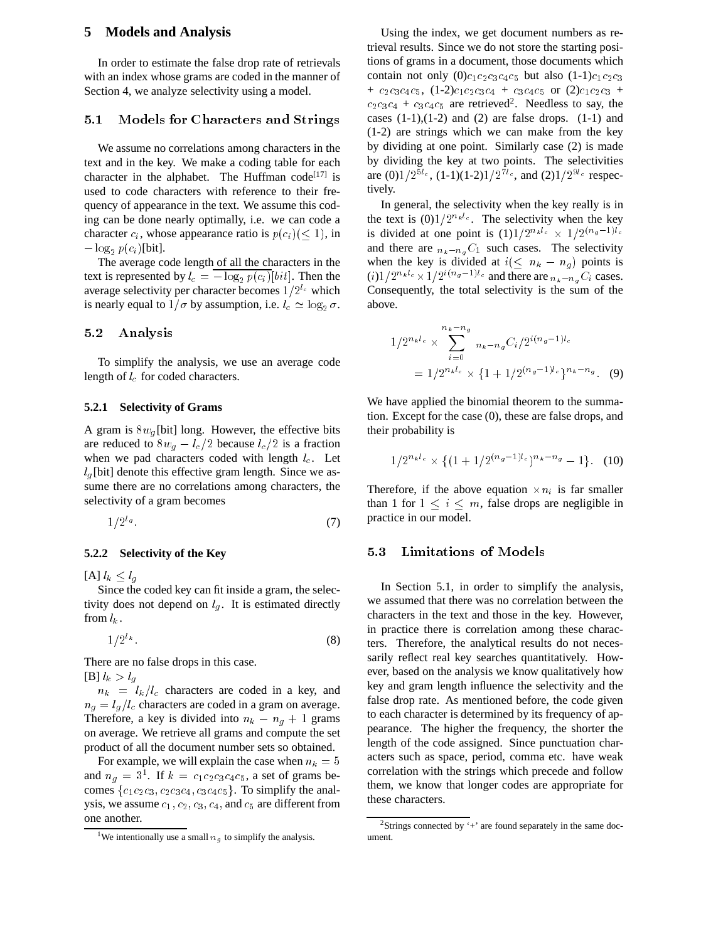### **5 Models and Analysis**

In order to estimate the false drop rate of retrievals with an index whose grams are coded in the manner of Section 4, we analyze selectivity using a model.

#### 5.1 Models for Characters and Strings

We assume no correlations among characters in the text and in the key. We make a coding table for each character in the alphabet. The Huffman code<sup>[17]</sup> is used to code characters with reference to their frequency of appearance in the text. We assume this coding can be done nearly optimally, i.e. we can code a character  $c_i$ , whose appearance ratio is  $p(c_i)$  ( $\leq 1$ ), in  $-\log_2 p(c_i)$ [bit].

The average code length of all the characters in the text is represented by  $l_c = -\log_2 p(c_i)[bit]$ . Then the average selectivity per character becomes  $1/2^{l_c}$  which is nearly equal to  $1/\sigma$  by assumption, i.e.  $l_c \simeq \log_2 \sigma$ .

#### 5.2 Analysis

To simplify the analysis, we use an average code length of  $l_c$  for coded characters.

#### **5.2.1 Selectivity of Grams**

A gram is  $8w_q$ [bit] long. However, the effective bits are reduced to  $8w_q-l_c/2$  because  $l_c/2$  is a fraction when we pad characters coded with length  $l_c$ . Let  $l<sub>g</sub>$ [bit] denote this effective gram length. Since we assume there are no correlations among characters, the selectivity of a gram becomes

$$
1/2^{l_g}.\tag{7}
$$

#### **5.2.2 Selectivity of the Key**

 $[A]$   $l_k \leq l_q$ 

Since the coded key can fit inside a gram, the selectivity does not depend on  $l_q$ . It is estimated directly from  $l_k$ .

 $1/Z^{\kappa}$ .  $\hspace{1.6cm} (8)$ 

There are no false drops in this case.  $[B]$   $l_k > l_q$ 

 $n_k = l_k/l_c$  characters are coded in a key, and  $n_q = l_q / l_c$  characters are coded in a gram on average. Therefore, a key is divided into  $n_k - n_q + 1$  grams on average. We retrieve all grams and compute the set product of all the document number sets so obtained.

For example, we will explain the case when  $n_k = 5$ and  $n_g = 3^1$ . If  $k = c_1c_2c_3c_4c_5$ , a set of grams becomes  $\{c_1c_2c_3, c_2c_3c_4, c_3c_4c_5\}$ . To simplify the analysis, we assume  $c_1$ ,  $c_2$ ,  $c_3$ ,  $c_4$ , and  $c_5$  are different from one another.

Using the index, we get document numbers as retrieval results. Since we do not store the starting positions of grams in a document, those documents which contain not only  $(0)c_1c_2c_3c_4c_5$  but also  $(1-1)c_1c_2c_3$ +  $c_2c_3c_4c_5$ ,  $(1-2)c_1c_2c_3c_4$  +  $c_3c_4c_5$  or  $(2)c_1c_2c_3$  +  $c_2c_3c_4 + c_3c_4c_5$  are retrieved<sup>2</sup>. Needless to say, the cases  $(1-1)$ ,  $(1-2)$  and  $(2)$  are false drops.  $(1-1)$  and (1-2) are strings which we can make from the key by dividing at one point. Similarly case (2) is made by dividing the key at two points. The selectivities are  $(0)1/2^{5l_c}$ ,  $(1-1)(1-2)1/2^{7l_c}$ , and  $(2)1/2^{9l_c}$  respectively.

In general, the selectivity when the key really is in the text is  $(0)1/2^{n_k l_c}$ . The selectivity when the key is divided at one point is  $(1)1/2^{n_k l_c} \times 1/2^{(n_g-1)l_c}$ and there are  $n_k - n_qC_1$  such cases. The selectivity when the key is divided at  $i \leq n_k - n_g$  points is  $(i)1/2^{n_kl_c} \times 1/2^{i(n_g-1)l_c}$  and there are  $n_k - n_qC_i$  cases. Consequently, the total selectivity is the sum of the above.

$$
1/2^{n_k l_c} \times \sum_{i=0}^{n_k - n_g} n_k - n_g C_i / 2^{i(n_g - 1)l_c}
$$
  
=  $1/2^{n_k l_c} \times \{1 + 1/2^{(n_g - 1)l_c}\}^{n_k - n_g}$ . (9)

We have applied the binomial theorem to the summation. Except for the case (0), these are false drops, and their probability is

$$
1/2^{n_k l_c} \times \{ (1 + 1/2^{(n_g - 1)l_c})^{n_k - n_g} - 1 \}. (10)
$$

Therefore, if the above equation  $\times n_i$  is far smaller than 1 for  $1 \le i \le m$ , false drops are negligible in practice in our model.

#### 5.3 Limitations of Models

In Section 5.1, in order to simplify the analysis, we assumed that there was no correlation between the characters in the text and those in the key. However, in practice there is correlation among these characters. Therefore, the analytical results do not necessarily reflect real key searches quantitatively. However, based on the analysis we know qualitatively how key and gram length influence the selectivity and the false drop rate. As mentioned before, the code given to each character is determined by its frequency of appearance. The higher the frequency, the shorter the length of the code assigned. Since punctuation characters such as space, period, comma etc. have weak correlation with the strings which precede and follow them, we know that longer codes are appropriate for these characters.

<sup>&</sup>lt;sup>1</sup>We intentionally use a small  $n<sub>g</sub>$  to simplify the analysis.

<sup>&</sup>lt;sup>2</sup>Strings connected by  $+$  are found separately in the same document.